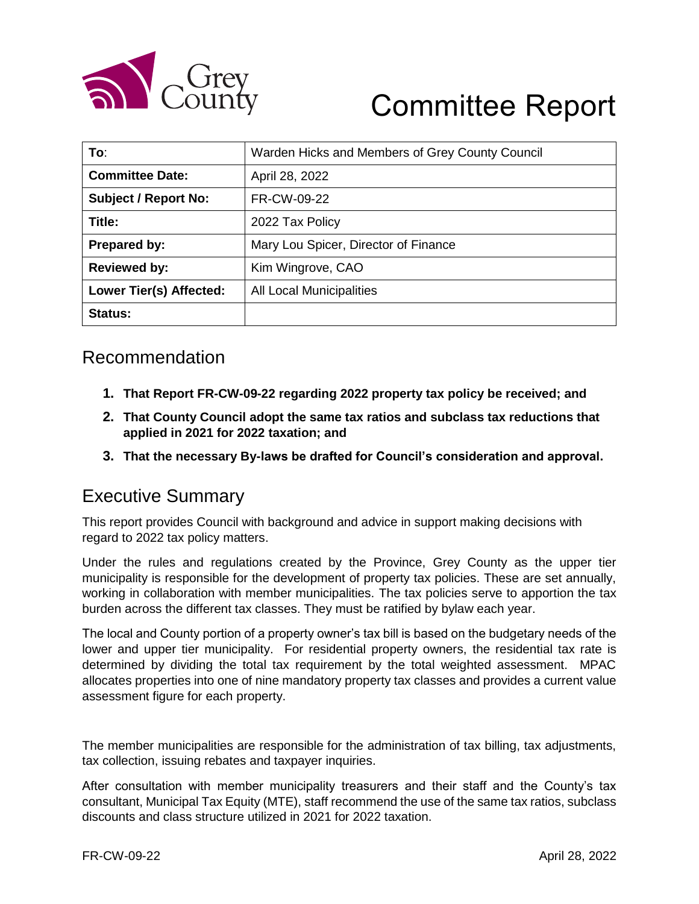

# Committee Report

| To:                            | Warden Hicks and Members of Grey County Council |
|--------------------------------|-------------------------------------------------|
| <b>Committee Date:</b>         | April 28, 2022                                  |
| <b>Subject / Report No:</b>    | FR-CW-09-22                                     |
| Title:                         | 2022 Tax Policy                                 |
| Prepared by:                   | Mary Lou Spicer, Director of Finance            |
| <b>Reviewed by:</b>            | Kim Wingrove, CAO                               |
| <b>Lower Tier(s) Affected:</b> | All Local Municipalities                        |
| <b>Status:</b>                 |                                                 |

### Recommendation

- **1. That Report FR-CW-09-22 regarding 2022 property tax policy be received; and**
- **2. That County Council adopt the same tax ratios and subclass tax reductions that applied in 2021 for 2022 taxation; and**
- **3. That the necessary By-laws be drafted for Council's consideration and approval.**

### Executive Summary

This report provides Council with background and advice in support making decisions with regard to 2022 tax policy matters.

Under the rules and regulations created by the Province, Grey County as the upper tier municipality is responsible for the development of property tax policies. These are set annually, working in collaboration with member municipalities. The tax policies serve to apportion the tax burden across the different tax classes. They must be ratified by bylaw each year.

The local and County portion of a property owner's tax bill is based on the budgetary needs of the lower and upper tier municipality. For residential property owners, the residential tax rate is determined by dividing the total tax requirement by the total weighted assessment. MPAC allocates properties into one of nine mandatory property tax classes and provides a current value assessment figure for each property.

The member municipalities are responsible for the administration of tax billing, tax adjustments, tax collection, issuing rebates and taxpayer inquiries.

After consultation with member municipality treasurers and their staff and the County's tax consultant, Municipal Tax Equity (MTE), staff recommend the use of the same tax ratios, subclass discounts and class structure utilized in 2021 for 2022 taxation.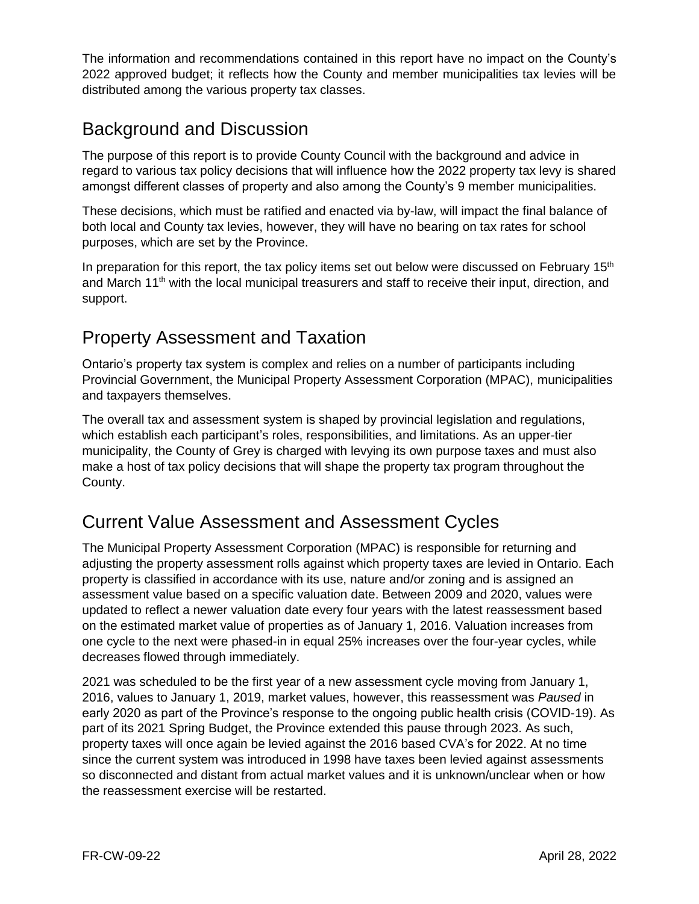The information and recommendations contained in this report have no impact on the County's 2022 approved budget; it reflects how the County and member municipalities tax levies will be distributed among the various property tax classes.

### Background and Discussion

The purpose of this report is to provide County Council with the background and advice in regard to various tax policy decisions that will influence how the 2022 property tax levy is shared amongst different classes of property and also among the County's 9 member municipalities.

These decisions, which must be ratified and enacted via by-law, will impact the final balance of both local and County tax levies, however, they will have no bearing on tax rates for school purposes, which are set by the Province.

In preparation for this report, the tax policy items set out below were discussed on February 15<sup>th</sup> and March 11<sup>th</sup> with the local municipal treasurers and staff to receive their input, direction, and support.

### Property Assessment and Taxation

Ontario's property tax system is complex and relies on a number of participants including Provincial Government, the Municipal Property Assessment Corporation (MPAC), municipalities and taxpayers themselves.

The overall tax and assessment system is shaped by provincial legislation and regulations, which establish each participant's roles, responsibilities, and limitations. As an upper-tier municipality, the County of Grey is charged with levying its own purpose taxes and must also make a host of tax policy decisions that will shape the property tax program throughout the County.

### Current Value Assessment and Assessment Cycles

The Municipal Property Assessment Corporation (MPAC) is responsible for returning and adjusting the property assessment rolls against which property taxes are levied in Ontario. Each property is classified in accordance with its use, nature and/or zoning and is assigned an assessment value based on a specific valuation date. Between 2009 and 2020, values were updated to reflect a newer valuation date every four years with the latest reassessment based on the estimated market value of properties as of January 1, 2016. Valuation increases from one cycle to the next were phased-in in equal 25% increases over the four-year cycles, while decreases flowed through immediately.

2021 was scheduled to be the first year of a new assessment cycle moving from January 1, 2016, values to January 1, 2019, market values, however, this reassessment was *Paused* in early 2020 as part of the Province's response to the ongoing public health crisis (COVID-19). As part of its 2021 Spring Budget, the Province extended this pause through 2023. As such, property taxes will once again be levied against the 2016 based CVA's for 2022. At no time since the current system was introduced in 1998 have taxes been levied against assessments so disconnected and distant from actual market values and it is unknown/unclear when or how the reassessment exercise will be restarted.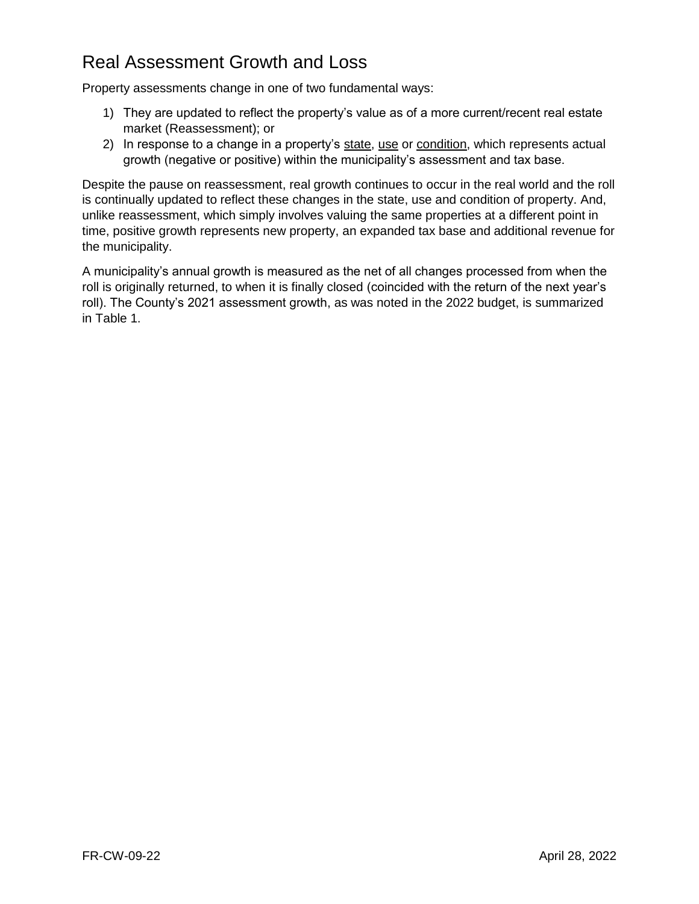# Real Assessment Growth and Loss

Property assessments change in one of two fundamental ways:

- 1) They are updated to reflect the property's value as of a more current/recent real estate market (Reassessment); or
- 2) In response to a change in a property's state, use or condition, which represents actual growth (negative or positive) within the municipality's assessment and tax base.

Despite the pause on reassessment, real growth continues to occur in the real world and the roll is continually updated to reflect these changes in the state, use and condition of property. And, unlike reassessment, which simply involves valuing the same properties at a different point in time, positive growth represents new property, an expanded tax base and additional revenue for the municipality.

A municipality's annual growth is measured as the net of all changes processed from when the roll is originally returned, to when it is finally closed (coincided with the return of the next year's roll). The County's 2021 assessment growth, as was noted in the 2022 budget, is summarized in Table 1.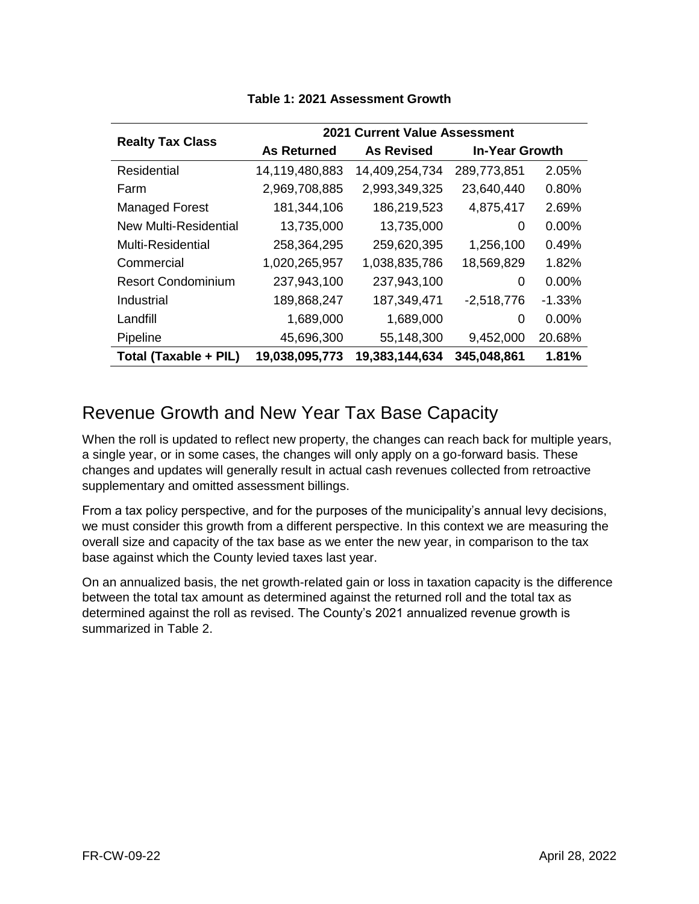|                           | <b>2021 Current Value Assessment</b> |                   |                       |          |  |  |
|---------------------------|--------------------------------------|-------------------|-----------------------|----------|--|--|
| <b>Realty Tax Class</b>   | <b>As Returned</b>                   | <b>As Revised</b> | <b>In-Year Growth</b> |          |  |  |
| <b>Residential</b>        | 14,119,480,883                       | 14,409,254,734    | 289,773,851           | 2.05%    |  |  |
| Farm                      | 2,969,708,885                        | 2,993,349,325     | 23,640,440            | 0.80%    |  |  |
| <b>Managed Forest</b>     | 181,344,106                          | 186,219,523       | 4,875,417             | 2.69%    |  |  |
| New Multi-Residential     | 13,735,000                           | 13,735,000        | 0                     | $0.00\%$ |  |  |
| <b>Multi-Residential</b>  | 258,364,295                          | 259,620,395       | 1,256,100             | 0.49%    |  |  |
| Commercial                | 1,020,265,957                        | 1,038,835,786     | 18,569,829            | 1.82%    |  |  |
| <b>Resort Condominium</b> | 237,943,100                          | 237,943,100       | 0                     | $0.00\%$ |  |  |
| Industrial                | 189,868,247                          | 187,349,471       | $-2,518,776$          | $-1.33%$ |  |  |
| Landfill                  | 1,689,000                            | 1,689,000         | 0                     | $0.00\%$ |  |  |
| Pipeline                  | 45,696,300                           | 55,148,300        | 9,452,000             | 20.68%   |  |  |
| Total (Taxable + PIL)     | 19,038,095,773                       | 19,383,144,634    | 345,048,861           | 1.81%    |  |  |

#### **Table 1: 2021 Assessment Growth**

### Revenue Growth and New Year Tax Base Capacity

When the roll is updated to reflect new property, the changes can reach back for multiple years, a single year, or in some cases, the changes will only apply on a go-forward basis. These changes and updates will generally result in actual cash revenues collected from retroactive supplementary and omitted assessment billings.

From a tax policy perspective, and for the purposes of the municipality's annual levy decisions, we must consider this growth from a different perspective. In this context we are measuring the overall size and capacity of the tax base as we enter the new year, in comparison to the tax base against which the County levied taxes last year.

On an annualized basis, the net growth-related gain or loss in taxation capacity is the difference between the total tax amount as determined against the returned roll and the total tax as determined against the roll as revised. The County's 2021 annualized revenue growth is summarized in Table 2.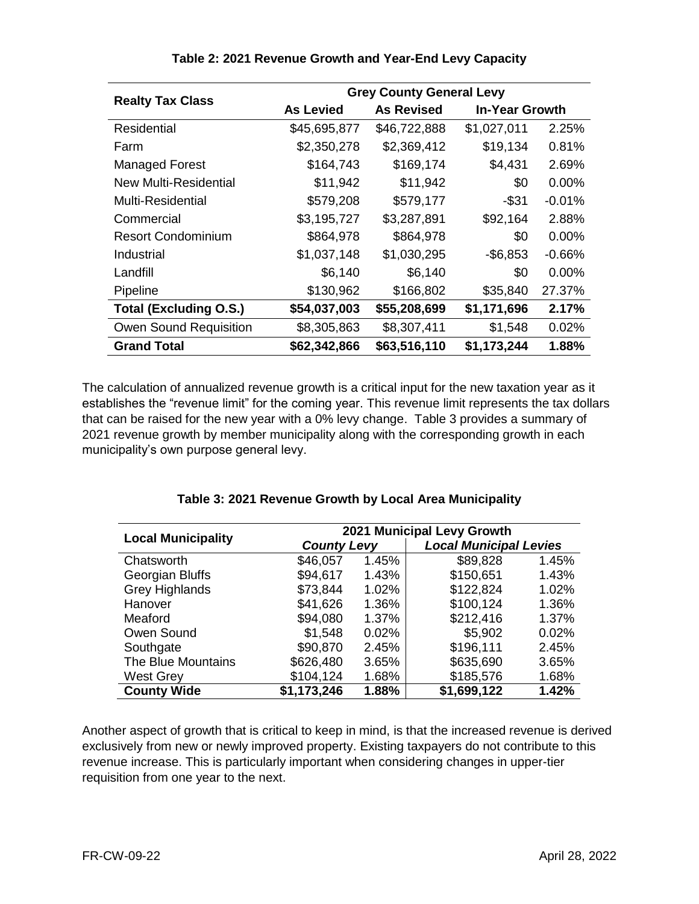| <b>Realty Tax Class</b>       | <b>Grey County General Levy</b> |                   |                       |          |  |
|-------------------------------|---------------------------------|-------------------|-----------------------|----------|--|
|                               | <b>As Levied</b>                | <b>As Revised</b> | <b>In-Year Growth</b> |          |  |
| Residential                   | \$45,695,877                    | \$46,722,888      | \$1,027,011           | 2.25%    |  |
| Farm                          | \$2,350,278                     | \$2,369,412       | \$19,134              | 0.81%    |  |
| <b>Managed Forest</b>         | \$164,743                       | \$169,174         | \$4,431               | 2.69%    |  |
| New Multi-Residential         | \$11,942                        | \$11,942          | \$0                   | 0.00%    |  |
| Multi-Residential             | \$579,208                       | \$579,177         | $-$ \$31              | $-0.01%$ |  |
| Commercial                    | \$3,195,727                     | \$3,287,891       | \$92,164              | 2.88%    |  |
| <b>Resort Condominium</b>     | \$864,978                       | \$864,978         | \$0                   | 0.00%    |  |
| Industrial                    | \$1,037,148                     | \$1,030,295       | $-$ \$6,853           | $-0.66%$ |  |
| Landfill                      | \$6,140                         | \$6,140           | \$0                   | 0.00%    |  |
| Pipeline                      | \$130,962                       | \$166,802         | \$35,840              | 27.37%   |  |
| <b>Total (Excluding O.S.)</b> | \$54,037,003                    | \$55,208,699      | \$1,171,696           | 2.17%    |  |
| <b>Owen Sound Requisition</b> | \$8,305,863                     | \$8,307,411       | \$1,548               | 0.02%    |  |
| <b>Grand Total</b>            | \$62,342,866                    | \$63,516,110      | \$1,173,244           | 1.88%    |  |

**Table 2: 2021 Revenue Growth and Year-End Levy Capacity**

The calculation of annualized revenue growth is a critical input for the new taxation year as it establishes the "revenue limit" for the coming year. This revenue limit represents the tax dollars that can be raised for the new year with a 0% levy change. Table 3 provides a summary of 2021 revenue growth by member municipality along with the corresponding growth in each municipality's own purpose general levy.

|                           | 2021 Municipal Levy Growth |       |             |                               |  |  |
|---------------------------|----------------------------|-------|-------------|-------------------------------|--|--|
| <b>Local Municipality</b> | <b>County Levy</b>         |       |             | <b>Local Municipal Levies</b> |  |  |
| Chatsworth                | \$46,057                   | 1.45% | \$89,828    | 1.45%                         |  |  |
| Georgian Bluffs           | \$94,617                   | 1.43% | \$150,651   | 1.43%                         |  |  |
| <b>Grey Highlands</b>     | \$73,844                   | 1.02% | \$122,824   | 1.02%                         |  |  |
| Hanover                   | \$41,626                   | 1.36% | \$100,124   | 1.36%                         |  |  |
| Meaford                   | \$94,080                   | 1.37% | \$212,416   | 1.37%                         |  |  |
| Owen Sound                | \$1,548                    | 0.02% | \$5,902     | 0.02%                         |  |  |
| Southgate                 | \$90,870                   | 2.45% | \$196,111   | 2.45%                         |  |  |
| The Blue Mountains        | \$626,480                  | 3.65% | \$635,690   | 3.65%                         |  |  |
| <b>West Grey</b>          | \$104,124                  | 1.68% | \$185,576   | 1.68%                         |  |  |
| <b>County Wide</b>        | \$1,173,246                | 1.88% | \$1,699,122 | 1.42%                         |  |  |

|  |  |  | Table 3: 2021 Revenue Growth by Local Area Municipality |
|--|--|--|---------------------------------------------------------|
|  |  |  |                                                         |

Another aspect of growth that is critical to keep in mind, is that the increased revenue is derived exclusively from new or newly improved property. Existing taxpayers do not contribute to this revenue increase. This is particularly important when considering changes in upper-tier requisition from one year to the next.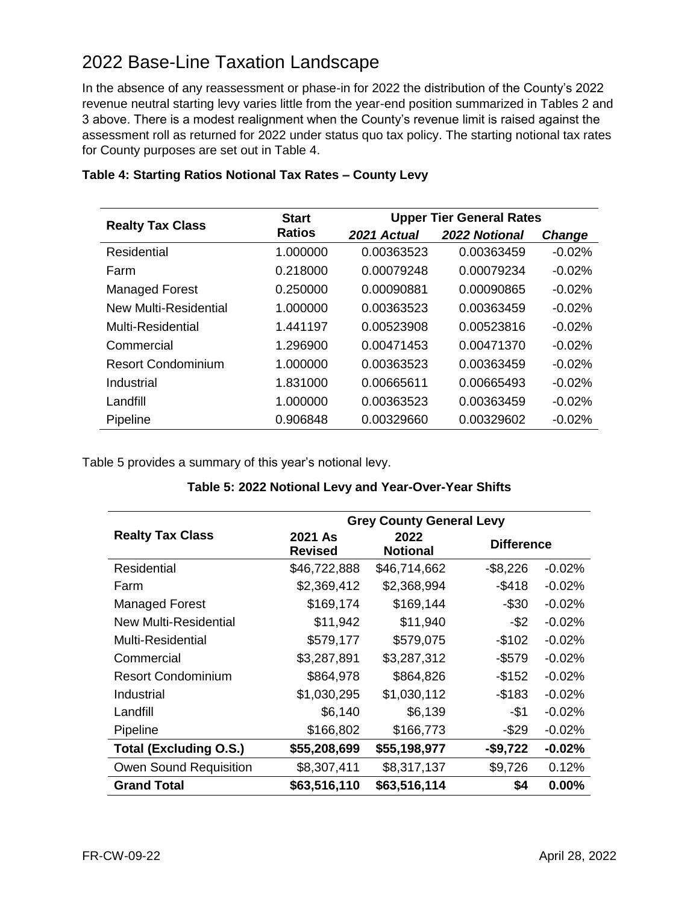# 2022 Base-Line Taxation Landscape

In the absence of any reassessment or phase-in for 2022 the distribution of the County's 2022 revenue neutral starting levy varies little from the year-end position summarized in Tables 2 and 3 above. There is a modest realignment when the County's revenue limit is raised against the assessment roll as returned for 2022 under status quo tax policy. The starting notional tax rates for County purposes are set out in Table 4.

| <b>Realty Tax Class</b>   | <b>Start</b>  | <b>Upper Tier General Rates</b> |               |               |  |
|---------------------------|---------------|---------------------------------|---------------|---------------|--|
|                           | <b>Ratios</b> | 2021 Actual                     | 2022 Notional | <b>Change</b> |  |
| Residential               | 1.000000      | 0.00363523                      | 0.00363459    | $-0.02%$      |  |
| Farm                      | 0.218000      | 0.00079248                      | 0.00079234    | $-0.02%$      |  |
| <b>Managed Forest</b>     | 0.250000      | 0.00090881                      | 0.00090865    | $-0.02%$      |  |
| New Multi-Residential     | 1.000000      | 0.00363523                      | 0.00363459    | $-0.02%$      |  |
| <b>Multi-Residential</b>  | 1.441197      | 0.00523908                      | 0.00523816    | $-0.02%$      |  |
| Commercial                | 1.296900      | 0.00471453                      | 0.00471370    | $-0.02%$      |  |
| <b>Resort Condominium</b> | 1.000000      | 0.00363523                      | 0.00363459    | $-0.02%$      |  |
| Industrial                | 1.831000      | 0.00665611                      | 0.00665493    | $-0.02%$      |  |
| Landfill                  | 1.000000      | 0.00363523                      | 0.00363459    | $-0.02%$      |  |
| Pipeline                  | 0.906848      | 0.00329660                      | 0.00329602    | $-0.02%$      |  |

#### **Table 4: Starting Ratios Notional Tax Rates – County Levy**

Table 5 provides a summary of this year's notional levy.

|                               | <b>Grey County General Levy</b> |                         |                   |          |  |
|-------------------------------|---------------------------------|-------------------------|-------------------|----------|--|
| <b>Realty Tax Class</b>       | 2021 As<br><b>Revised</b>       | 2022<br><b>Notional</b> | <b>Difference</b> |          |  |
| Residential                   | \$46,722,888                    | \$46,714,662            | $-$ \$8,226       | $-0.02%$ |  |
| Farm                          | \$2,369,412                     | \$2,368,994             | $-$ \$418         | $-0.02%$ |  |
| <b>Managed Forest</b>         | \$169,174                       | \$169,144               | $-$ \$30          | $-0.02%$ |  |
| New Multi-Residential         | \$11,942                        | \$11,940                | $-$ \$2           | $-0.02%$ |  |
| Multi-Residential             | \$579,177                       | \$579,075               | $-$102$           | $-0.02%$ |  |
| Commercial                    | \$3,287,891                     | \$3,287,312             | $-$ \$579         | $-0.02%$ |  |
| <b>Resort Condominium</b>     | \$864,978                       | \$864,826               | $-$152$           | $-0.02%$ |  |
| Industrial                    | \$1,030,295                     | \$1,030,112             | $-$183$           | $-0.02%$ |  |
| Landfill                      | \$6,140                         | \$6,139                 | -\$1              | $-0.02%$ |  |
| Pipeline                      | \$166,802                       | \$166,773               | $-$29$            | $-0.02%$ |  |
| <b>Total (Excluding O.S.)</b> | \$55,208,699                    | \$55,198,977            | $-$9,722$         | $-0.02%$ |  |
| Owen Sound Requisition        | \$8,307,411                     | \$8,317,137             | \$9,726           | 0.12%    |  |
| <b>Grand Total</b>            | \$63,516,110                    | \$63,516,114            | \$4               | 0.00%    |  |

#### **Table 5: 2022 Notional Levy and Year-Over-Year Shifts**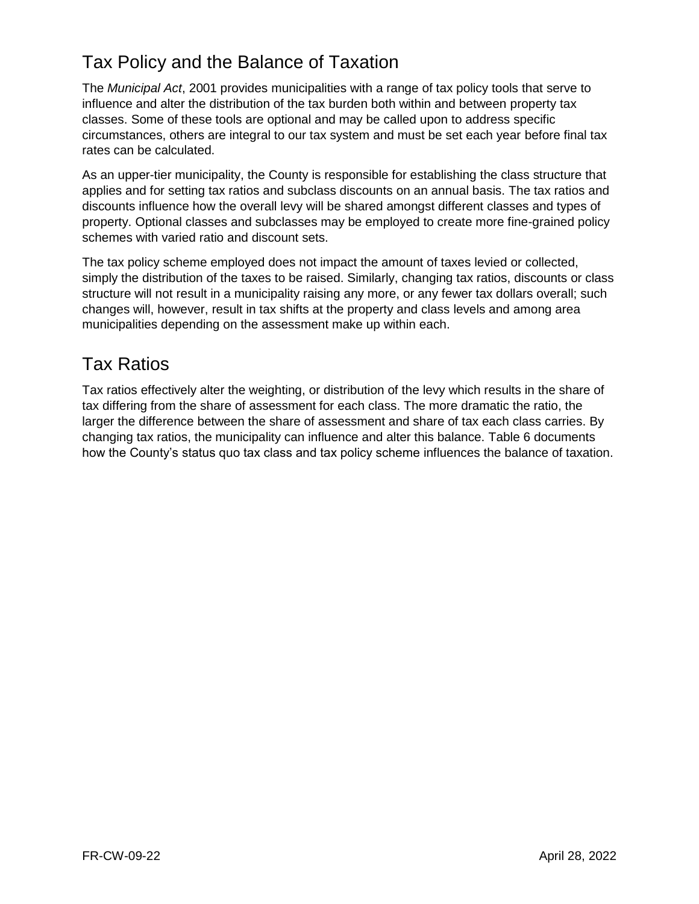# Tax Policy and the Balance of Taxation

The *Municipal Act*, 2001 provides municipalities with a range of tax policy tools that serve to influence and alter the distribution of the tax burden both within and between property tax classes. Some of these tools are optional and may be called upon to address specific circumstances, others are integral to our tax system and must be set each year before final tax rates can be calculated.

As an upper-tier municipality, the County is responsible for establishing the class structure that applies and for setting tax ratios and subclass discounts on an annual basis. The tax ratios and discounts influence how the overall levy will be shared amongst different classes and types of property. Optional classes and subclasses may be employed to create more fine-grained policy schemes with varied ratio and discount sets.

The tax policy scheme employed does not impact the amount of taxes levied or collected, simply the distribution of the taxes to be raised. Similarly, changing tax ratios, discounts or class structure will not result in a municipality raising any more, or any fewer tax dollars overall; such changes will, however, result in tax shifts at the property and class levels and among area municipalities depending on the assessment make up within each.

# Tax Ratios

Tax ratios effectively alter the weighting, or distribution of the levy which results in the share of tax differing from the share of assessment for each class. The more dramatic the ratio, the larger the difference between the share of assessment and share of tax each class carries. By changing tax ratios, the municipality can influence and alter this balance. Table 6 documents how the County's status quo tax class and tax policy scheme influences the balance of taxation.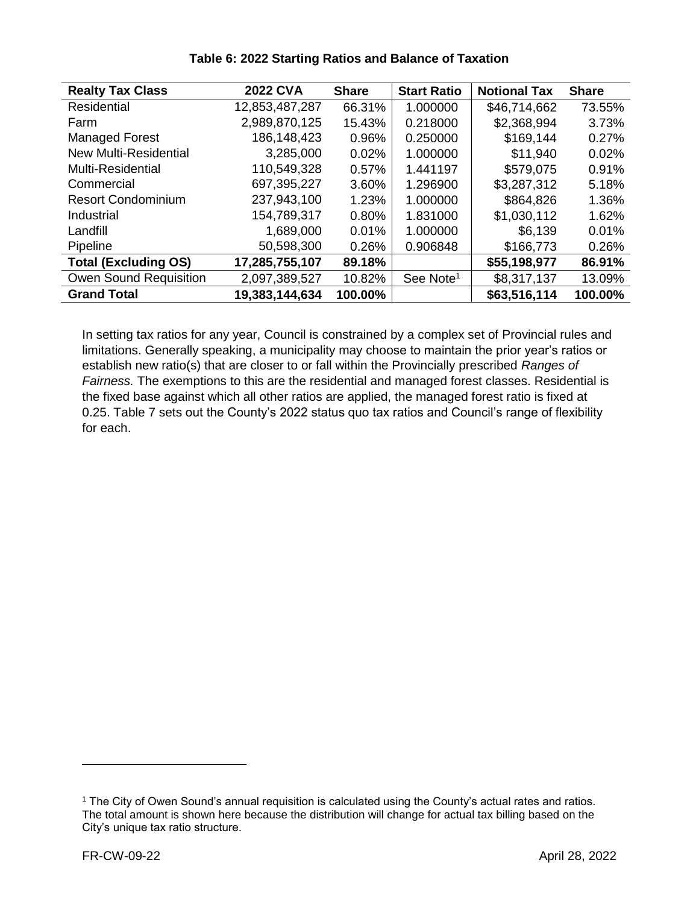| <b>Realty Tax Class</b>       | <b>2022 CVA</b> | <b>Share</b> | <b>Start Ratio</b>    | <b>Notional Tax</b> | <b>Share</b> |
|-------------------------------|-----------------|--------------|-----------------------|---------------------|--------------|
| <b>Residential</b>            | 12,853,487,287  | 66.31%       | 1.000000              | \$46,714,662        | 73.55%       |
| Farm                          | 2,989,870,125   | 15.43%       | 0.218000              | \$2,368,994         | 3.73%        |
| <b>Managed Forest</b>         | 186,148,423     | 0.96%        | 0.250000              | \$169,144           | 0.27%        |
| <b>New Multi-Residential</b>  | 3,285,000       | 0.02%        | 1.000000              | \$11,940            | 0.02%        |
| Multi-Residential             | 110,549,328     | $0.57\%$     | 1.441197              | \$579,075           | 0.91%        |
| Commercial                    | 697,395,227     | 3.60%        | 1.296900              | \$3,287,312         | 5.18%        |
| <b>Resort Condominium</b>     | 237,943,100     | 1.23%        | 1.000000              | \$864,826           | 1.36%        |
| Industrial                    | 154,789,317     | $0.80\%$     | 1.831000              | \$1,030,112         | 1.62%        |
| Landfill                      | 1,689,000       | $0.01\%$     | 1.000000              | \$6,139             | 0.01%        |
| Pipeline                      | 50,598,300      | 0.26%        | 0.906848              | \$166,773           | 0.26%        |
| <b>Total (Excluding OS)</b>   | 17,285,755,107  | 89.18%       |                       | \$55,198,977        | 86.91%       |
| <b>Owen Sound Requisition</b> | 2,097,389,527   | 10.82%       | See Note <sup>1</sup> | \$8,317,137         | 13.09%       |
| <b>Grand Total</b>            | 19,383,144,634  | 100.00%      |                       | \$63,516,114        | 100.00%      |

#### **Table 6: 2022 Starting Ratios and Balance of Taxation**

In setting tax ratios for any year, Council is constrained by a complex set of Provincial rules and limitations. Generally speaking, a municipality may choose to maintain the prior year's ratios or establish new ratio(s) that are closer to or fall within the Provincially prescribed *Ranges of Fairness.* The exemptions to this are the residential and managed forest classes. Residential is the fixed base against which all other ratios are applied, the managed forest ratio is fixed at 0.25. Table 7 sets out the County's 2022 status quo tax ratios and Council's range of flexibility for each.

 $\overline{a}$ 

<sup>1</sup> The City of Owen Sound's annual requisition is calculated using the County's actual rates and ratios. The total amount is shown here because the distribution will change for actual tax billing based on the City's unique tax ratio structure.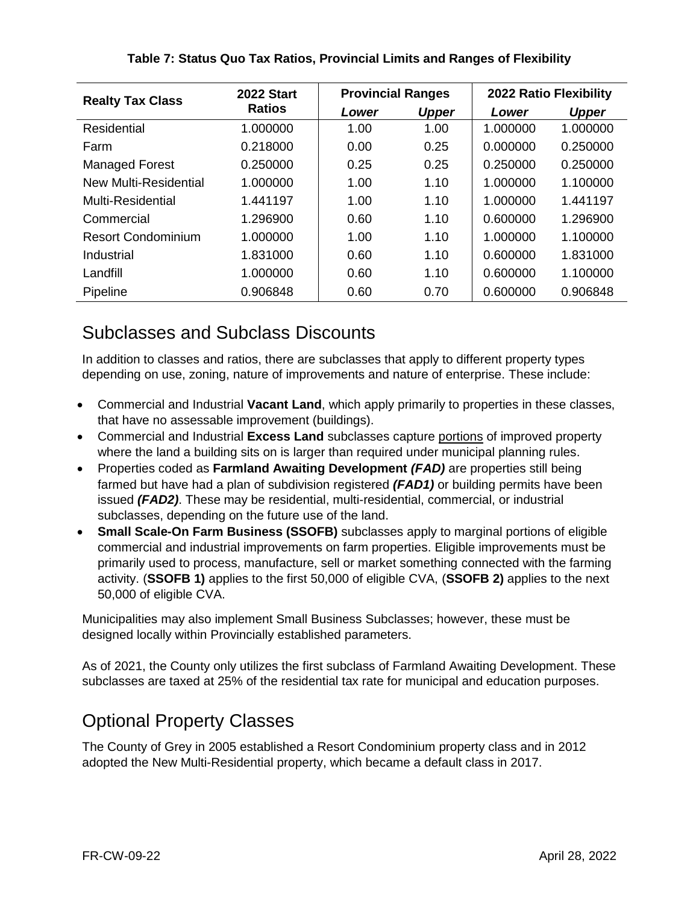|              | 2022 Ratio Flexibility                                                                                                        |  |
|--------------|-------------------------------------------------------------------------------------------------------------------------------|--|
| <b>Upper</b> |                                                                                                                               |  |
| 1.000000     |                                                                                                                               |  |
| 0.250000     |                                                                                                                               |  |
| 0.250000     |                                                                                                                               |  |
| 1.100000     |                                                                                                                               |  |
| 1.441197     |                                                                                                                               |  |
| 1.296900     |                                                                                                                               |  |
| 1.100000     |                                                                                                                               |  |
| 1.831000     |                                                                                                                               |  |
| 1.100000     |                                                                                                                               |  |
| 0.906848     |                                                                                                                               |  |
|              | Lower<br>1.000000<br>0.000000<br>0.250000<br>1.000000<br>1.000000<br>0.600000<br>1.000000<br>0.600000<br>0.600000<br>0.600000 |  |

#### **Table 7: Status Quo Tax Ratios, Provincial Limits and Ranges of Flexibility**

### Subclasses and Subclass Discounts

In addition to classes and ratios, there are subclasses that apply to different property types depending on use, zoning, nature of improvements and nature of enterprise. These include:

- Commercial and Industrial **Vacant Land**, which apply primarily to properties in these classes, that have no assessable improvement (buildings).
- Commercial and Industrial **Excess Land** subclasses capture portions of improved property where the land a building sits on is larger than required under municipal planning rules.
- Properties coded as **Farmland Awaiting Development** *(FAD)* are properties still being farmed but have had a plan of subdivision registered *(FAD1)* or building permits have been issued *(FAD2)*. These may be residential, multi-residential, commercial, or industrial subclasses, depending on the future use of the land.
- **Small Scale-On Farm Business (SSOFB)** subclasses apply to marginal portions of eligible commercial and industrial improvements on farm properties. Eligible improvements must be primarily used to process, manufacture, sell or market something connected with the farming activity. (**SSOFB 1)** applies to the first 50,000 of eligible CVA, (**SSOFB 2)** applies to the next 50,000 of eligible CVA.

Municipalities may also implement Small Business Subclasses; however, these must be designed locally within Provincially established parameters.

As of 2021, the County only utilizes the first subclass of Farmland Awaiting Development. These subclasses are taxed at 25% of the residential tax rate for municipal and education purposes.

# Optional Property Classes

The County of Grey in 2005 established a Resort Condominium property class and in 2012 adopted the New Multi-Residential property, which became a default class in 2017.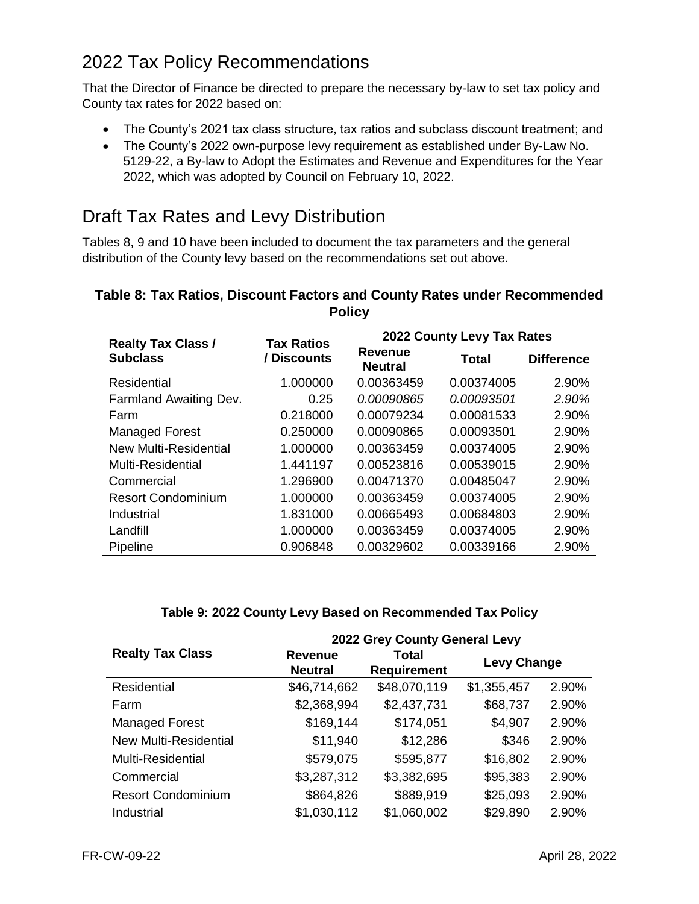# 2022 Tax Policy Recommendations

That the Director of Finance be directed to prepare the necessary by-law to set tax policy and County tax rates for 2022 based on:

- The County's 2021 tax class structure, tax ratios and subclass discount treatment; and
- The County's 2022 own-purpose levy requirement as established under By-Law No. 5129-22, a By-law to Adopt the Estimates and Revenue and Expenditures for the Year 2022, which was adopted by Council on February 10, 2022.

# Draft Tax Rates and Levy Distribution

Tables 8, 9 and 10 have been included to document the tax parameters and the general distribution of the County levy based on the recommendations set out above.

| . ,                          |                                                 |                            |              |                   |  |  |  |
|------------------------------|-------------------------------------------------|----------------------------|--------------|-------------------|--|--|--|
| <b>Realty Tax Class /</b>    | <b>Tax Ratios</b>                               | 2022 County Levy Tax Rates |              |                   |  |  |  |
| <b>Subclass</b>              | <b>Revenue</b><br>/ Discounts<br><b>Neutral</b> |                            | <b>Total</b> | <b>Difference</b> |  |  |  |
| Residential                  | 1.000000                                        | 0.00363459                 | 0.00374005   | 2.90%             |  |  |  |
| Farmland Awaiting Dev.       | 0.25                                            | 0.00090865                 | 0.00093501   | 2.90%             |  |  |  |
| Farm                         | 0.218000                                        | 0.00079234                 | 0.00081533   | 2.90%             |  |  |  |
| <b>Managed Forest</b>        | 0.250000                                        | 0.00090865                 | 0.00093501   | 2.90%             |  |  |  |
| <b>New Multi-Residential</b> | 1.000000                                        | 0.00363459                 | 0.00374005   | 2.90%             |  |  |  |
| Multi-Residential            | 1.441197                                        | 0.00523816                 | 0.00539015   | 2.90%             |  |  |  |
| Commercial                   | 1.296900                                        | 0.00471370                 | 0.00485047   | 2.90%             |  |  |  |
| <b>Resort Condominium</b>    | 1.000000                                        | 0.00363459                 | 0.00374005   | 2.90%             |  |  |  |
| Industrial                   | 1.831000                                        | 0.00665493                 | 0.00684803   | 2.90%             |  |  |  |
| Landfill                     | 1.000000                                        | 0.00363459                 | 0.00374005   | 2.90%             |  |  |  |
| Pipeline                     | 0.906848                                        | 0.00329602                 | 0.00339166   | 2.90%             |  |  |  |

#### **Table 8: Tax Ratios, Discount Factors and County Rates under Recommended Policy**

| Table 9: 2022 County Levy Based on Recommended Tax Policy |  |  |
|-----------------------------------------------------------|--|--|
|                                                           |  |  |

|                           | 2022 Grey County General Levy                                   |              |                    |       |  |  |
|---------------------------|-----------------------------------------------------------------|--------------|--------------------|-------|--|--|
| <b>Realty Tax Class</b>   | <b>Revenue</b><br>Total<br><b>Neutral</b><br><b>Requirement</b> |              | <b>Levy Change</b> |       |  |  |
| Residential               | \$46,714,662                                                    | \$48,070,119 | \$1,355,457        | 2.90% |  |  |
| Farm                      | \$2,368,994                                                     | \$2,437,731  | \$68,737           | 2.90% |  |  |
| <b>Managed Forest</b>     | \$169,144                                                       | \$174,051    | \$4,907            | 2.90% |  |  |
| New Multi-Residential     | \$11,940                                                        | \$12,286     | \$346              | 2.90% |  |  |
| Multi-Residential         | \$579,075                                                       | \$595,877    | \$16,802           | 2.90% |  |  |
| Commercial                | \$3,287,312                                                     | \$3,382,695  | \$95,383           | 2.90% |  |  |
| <b>Resort Condominium</b> | \$864,826                                                       | \$889,919    | \$25,093           | 2.90% |  |  |
| Industrial                | \$1,030,112                                                     | \$1,060,002  | \$29,890           | 2.90% |  |  |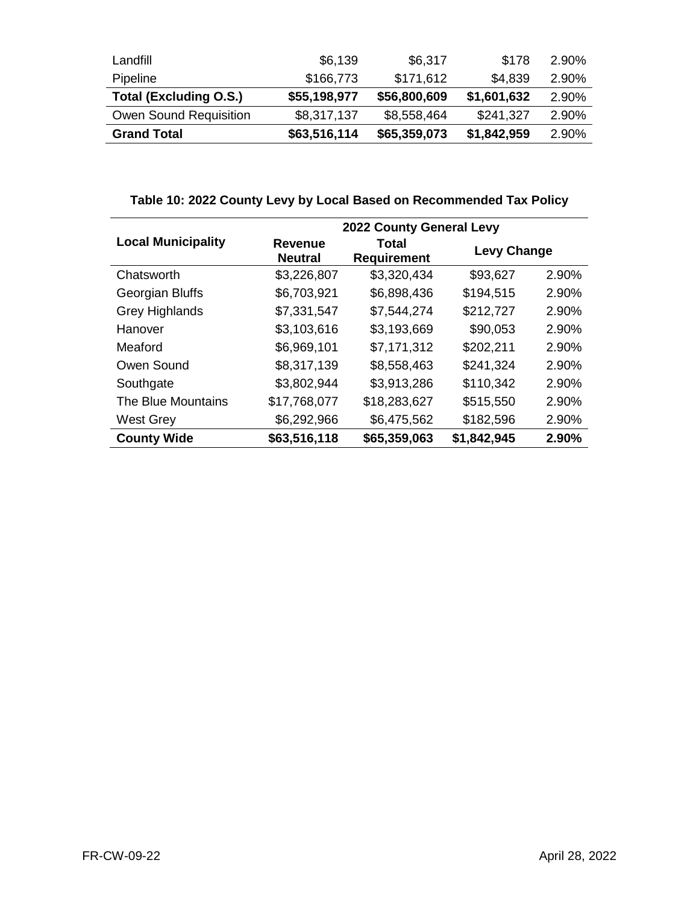| Landfill                      | \$6,139      | \$6,317      | \$178       | 2.90% |
|-------------------------------|--------------|--------------|-------------|-------|
| <b>Pipeline</b>               | \$166,773    | \$171,612    | \$4,839     | 2.90% |
| <b>Total (Excluding O.S.)</b> | \$55,198,977 | \$56,800,609 | \$1,601,632 | 2.90% |
| Owen Sound Requisition        | \$8,317,137  | \$8,558,464  | \$241,327   | 2.90% |
| <b>Grand Total</b>            | \$63,516,114 | \$65,359,073 | \$1,842,959 | 2.90% |

### **Table 10: 2022 County Levy by Local Based on Recommended Tax Policy**

|                           | 2022 County General Levy         |                             |                    |       |  |
|---------------------------|----------------------------------|-----------------------------|--------------------|-------|--|
| <b>Local Municipality</b> | <b>Revenue</b><br><b>Neutral</b> | Total<br><b>Requirement</b> | <b>Levy Change</b> |       |  |
| Chatsworth                | \$3,226,807                      | \$3,320,434                 | \$93,627           | 2.90% |  |
| Georgian Bluffs           | \$6,703,921                      | \$6,898,436                 | \$194,515          | 2.90% |  |
| <b>Grey Highlands</b>     | \$7,331,547                      | \$7,544,274                 | \$212,727          | 2.90% |  |
| Hanover                   | \$3,103,616                      | \$3,193,669                 | \$90,053           | 2.90% |  |
| Meaford                   | \$6,969,101                      | \$7,171,312                 | \$202,211          | 2.90% |  |
| Owen Sound                | \$8,317,139                      | \$8,558,463                 | \$241,324          | 2.90% |  |
| Southgate                 | \$3,802,944                      | \$3,913,286                 | \$110,342          | 2.90% |  |
| The Blue Mountains        | \$17,768,077                     | \$18,283,627                | \$515,550          | 2.90% |  |
| <b>West Grey</b>          | \$6,292,966                      | \$6,475,562                 | \$182,596          | 2.90% |  |
| <b>County Wide</b>        | \$63,516,118                     | \$65,359,063                | \$1,842,945        | 2.90% |  |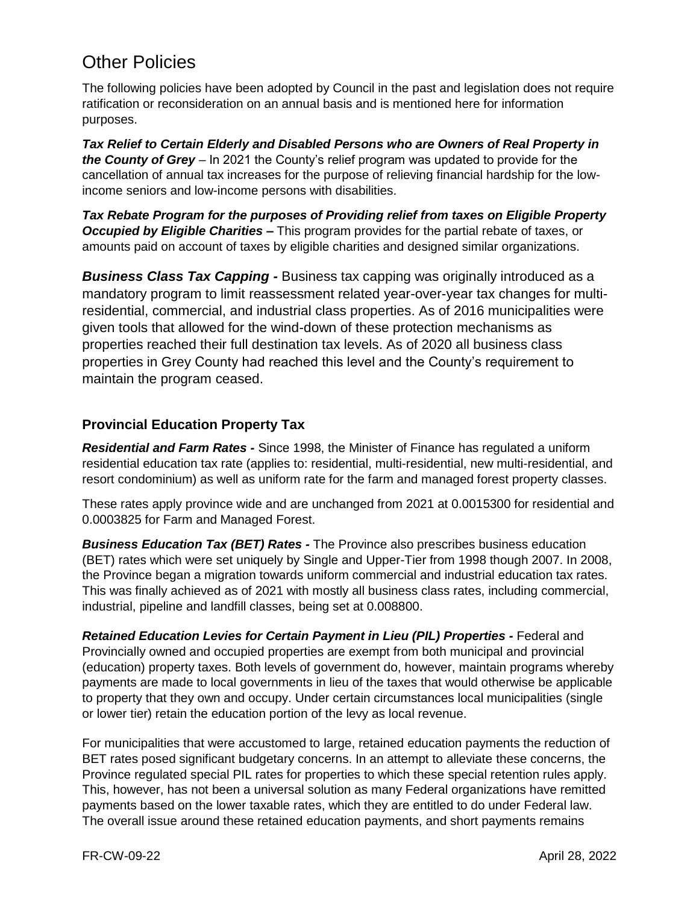# Other Policies

The following policies have been adopted by Council in the past and legislation does not require ratification or reconsideration on an annual basis and is mentioned here for information purposes.

*Tax Relief to Certain Elderly and Disabled Persons who are Owners of Real Property in the County of Grey* – In 2021 the County's relief program was updated to provide for the cancellation of annual tax increases for the purpose of relieving financial hardship for the lowincome seniors and low-income persons with disabilities.

*Tax Rebate Program for the purposes of Providing relief from taxes on Eligible Property Occupied by Eligible Charities –* This program provides for the partial rebate of taxes, or amounts paid on account of taxes by eligible charities and designed similar organizations.

*Business Class Tax Capping -* Business tax capping was originally introduced as a mandatory program to limit reassessment related year-over-year tax changes for multiresidential, commercial, and industrial class properties. As of 2016 municipalities were given tools that allowed for the wind-down of these protection mechanisms as properties reached their full destination tax levels. As of 2020 all business class properties in Grey County had reached this level and the County's requirement to maintain the program ceased.

#### **Provincial Education Property Tax**

*Residential and Farm Rates -* Since 1998, the Minister of Finance has regulated a uniform residential education tax rate (applies to: residential, multi-residential, new multi-residential, and resort condominium) as well as uniform rate for the farm and managed forest property classes.

These rates apply province wide and are unchanged from 2021 at 0.0015300 for residential and 0.0003825 for Farm and Managed Forest.

*Business Education Tax (BET) Rates -* The Province also prescribes business education (BET) rates which were set uniquely by Single and Upper-Tier from 1998 though 2007. In 2008, the Province began a migration towards uniform commercial and industrial education tax rates. This was finally achieved as of 2021 with mostly all business class rates, including commercial, industrial, pipeline and landfill classes, being set at 0.008800.

*Retained Education Levies for Certain Payment in Lieu (PIL) Properties -* Federal and Provincially owned and occupied properties are exempt from both municipal and provincial (education) property taxes. Both levels of government do, however, maintain programs whereby payments are made to local governments in lieu of the taxes that would otherwise be applicable to property that they own and occupy. Under certain circumstances local municipalities (single or lower tier) retain the education portion of the levy as local revenue.

For municipalities that were accustomed to large, retained education payments the reduction of BET rates posed significant budgetary concerns. In an attempt to alleviate these concerns, the Province regulated special PIL rates for properties to which these special retention rules apply. This, however, has not been a universal solution as many Federal organizations have remitted payments based on the lower taxable rates, which they are entitled to do under Federal law. The overall issue around these retained education payments, and short payments remains